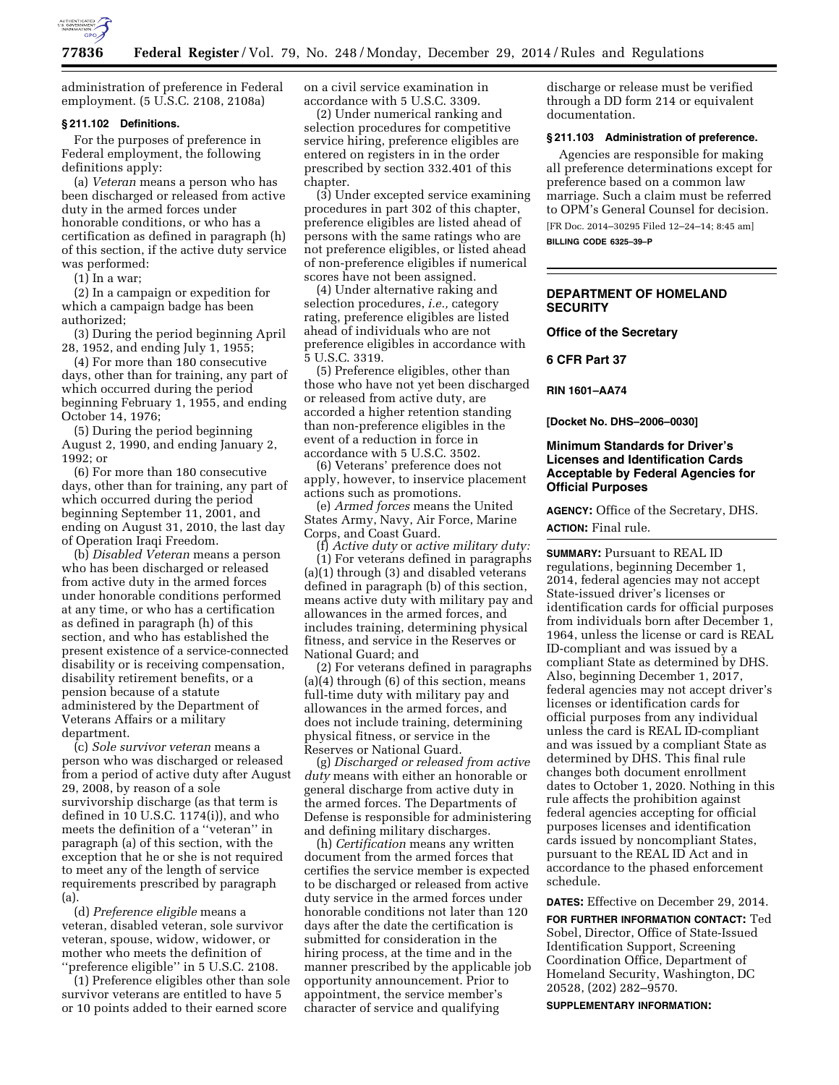

administration of preference in Federal employment. (5 U.S.C. 2108, 2108a)

#### **§ 211.102 Definitions.**

For the purposes of preference in Federal employment, the following definitions apply:

(a) *Veteran* means a person who has been discharged or released from active duty in the armed forces under honorable conditions, or who has a certification as defined in paragraph (h) of this section, if the active duty service was performed:

(1) In a war;

(2) In a campaign or expedition for which a campaign badge has been authorized;

(3) During the period beginning April 28, 1952, and ending July 1, 1955;

(4) For more than 180 consecutive days, other than for training, any part of which occurred during the period beginning February 1, 1955, and ending October 14, 1976;

(5) During the period beginning August 2, 1990, and ending January 2, 1992; or

(6) For more than 180 consecutive days, other than for training, any part of which occurred during the period beginning September 11, 2001, and ending on August 31, 2010, the last day of Operation Iraqi Freedom.

(b) *Disabled Veteran* means a person who has been discharged or released from active duty in the armed forces under honorable conditions performed at any time, or who has a certification as defined in paragraph (h) of this section, and who has established the present existence of a service-connected disability or is receiving compensation, disability retirement benefits, or a pension because of a statute administered by the Department of Veterans Affairs or a military department.

(c) *Sole survivor veteran* means a person who was discharged or released from a period of active duty after August 29, 2008, by reason of a sole survivorship discharge (as that term is defined in 10 U.S.C. 1174(i)), and who meets the definition of a ''veteran'' in paragraph (a) of this section, with the exception that he or she is not required to meet any of the length of service requirements prescribed by paragraph (a).

(d) *Preference eligible* means a veteran, disabled veteran, sole survivor veteran, spouse, widow, widower, or mother who meets the definition of ''preference eligible'' in 5 U.S.C. 2108.

(1) Preference eligibles other than sole survivor veterans are entitled to have 5 or 10 points added to their earned score

on a civil service examination in accordance with 5 U.S.C. 3309.

(2) Under numerical ranking and selection procedures for competitive service hiring, preference eligibles are entered on registers in in the order prescribed by section 332.401 of this chapter.

(3) Under excepted service examining procedures in part 302 of this chapter, preference eligibles are listed ahead of persons with the same ratings who are not preference eligibles, or listed ahead of non-preference eligibles if numerical scores have not been assigned.

(4) Under alternative raking and selection procedures, *i.e.,* category rating, preference eligibles are listed ahead of individuals who are not preference eligibles in accordance with 5 U.S.C. 3319.

(5) Preference eligibles, other than those who have not yet been discharged or released from active duty, are accorded a higher retention standing than non-preference eligibles in the event of a reduction in force in accordance with 5 U.S.C. 3502.

(6) Veterans' preference does not apply, however, to inservice placement actions such as promotions.

(e) *Armed forces* means the United States Army, Navy, Air Force, Marine Corps, and Coast Guard.

(f) *Active duty* or *active military duty:*  (1) For veterans defined in paragraphs (a)(1) through (3) and disabled veterans defined in paragraph (b) of this section, means active duty with military pay and allowances in the armed forces, and includes training, determining physical fitness, and service in the Reserves or National Guard; and

(2) For veterans defined in paragraphs (a)(4) through (6) of this section, means full-time duty with military pay and allowances in the armed forces, and does not include training, determining physical fitness, or service in the Reserves or National Guard.

(g) *Discharged or released from active duty* means with either an honorable or general discharge from active duty in the armed forces. The Departments of Defense is responsible for administering and defining military discharges.

(h) *Certification* means any written document from the armed forces that certifies the service member is expected to be discharged or released from active duty service in the armed forces under honorable conditions not later than 120 days after the date the certification is submitted for consideration in the hiring process, at the time and in the manner prescribed by the applicable job opportunity announcement. Prior to appointment, the service member's character of service and qualifying

discharge or release must be verified through a DD form 214 or equivalent documentation.

#### **§ 211.103 Administration of preference.**

Agencies are responsible for making all preference determinations except for preference based on a common law marriage. Such a claim must be referred to OPM's General Counsel for decision.

[FR Doc. 2014–30295 Filed 12–24–14; 8:45 am] **BILLING CODE 6325–39–P** 

# **DEPARTMENT OF HOMELAND SECURITY**

**Office of the Secretary** 

**6 CFR Part 37** 

**RIN 1601–AA74** 

**[Docket No. DHS–2006–0030]** 

### **Minimum Standards for Driver's Licenses and Identification Cards Acceptable by Federal Agencies for Official Purposes**

**AGENCY:** Office of the Secretary, DHS. **ACTION:** Final rule.

**SUMMARY: Pursuant to REAL ID** regulations, beginning December 1, 2014, federal agencies may not accept State-issued driver's licenses or identification cards for official purposes from individuals born after December 1, 1964, unless the license or card is REAL ID-compliant and was issued by a compliant State as determined by DHS. Also, beginning December 1, 2017, federal agencies may not accept driver's licenses or identification cards for official purposes from any individual unless the card is REAL ID-compliant and was issued by a compliant State as determined by DHS. This final rule changes both document enrollment dates to October 1, 2020. Nothing in this rule affects the prohibition against federal agencies accepting for official purposes licenses and identification cards issued by noncompliant States, pursuant to the REAL ID Act and in accordance to the phased enforcement schedule.

**DATES:** Effective on December 29, 2014.

**FOR FURTHER INFORMATION CONTACT:** Ted Sobel, Director, Office of State-Issued Identification Support, Screening Coordination Office, Department of Homeland Security, Washington, DC 20528, (202) 282–9570.

**SUPPLEMENTARY INFORMATION:**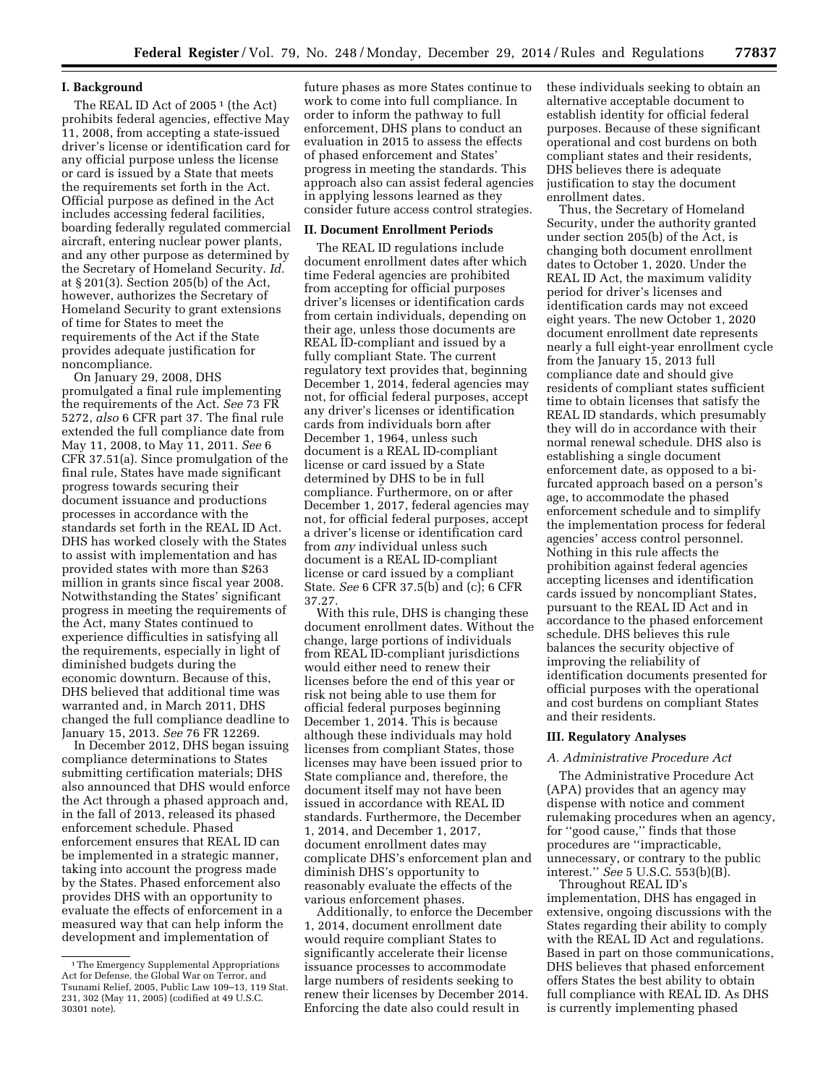# **I. Background**

The REAL ID Act of 2005<sup>1</sup> (the Act) prohibits federal agencies, effective May 11, 2008, from accepting a state-issued driver's license or identification card for any official purpose unless the license or card is issued by a State that meets the requirements set forth in the Act. Official purpose as defined in the Act includes accessing federal facilities, boarding federally regulated commercial aircraft, entering nuclear power plants, and any other purpose as determined by the Secretary of Homeland Security. *Id.*  at § 201(3). Section 205(b) of the Act, however, authorizes the Secretary of Homeland Security to grant extensions of time for States to meet the requirements of the Act if the State provides adequate justification for noncompliance.

On January 29, 2008, DHS promulgated a final rule implementing the requirements of the Act. *See* 73 FR 5272, *also* 6 CFR part 37. The final rule extended the full compliance date from May 11, 2008, to May 11, 2011. *See* 6 CFR 37.51(a). Since promulgation of the final rule, States have made significant progress towards securing their document issuance and productions processes in accordance with the standards set forth in the REAL ID Act. DHS has worked closely with the States to assist with implementation and has provided states with more than \$263 million in grants since fiscal year 2008. Notwithstanding the States' significant progress in meeting the requirements of the Act, many States continued to experience difficulties in satisfying all the requirements, especially in light of diminished budgets during the economic downturn. Because of this, DHS believed that additional time was warranted and, in March 2011, DHS changed the full compliance deadline to January 15, 2013. *See* 76 FR 12269.

In December 2012, DHS began issuing compliance determinations to States submitting certification materials; DHS also announced that DHS would enforce the Act through a phased approach and, in the fall of 2013, released its phased enforcement schedule. Phased enforcement ensures that REAL ID can be implemented in a strategic manner, taking into account the progress made by the States. Phased enforcement also provides DHS with an opportunity to evaluate the effects of enforcement in a measured way that can help inform the development and implementation of

future phases as more States continue to work to come into full compliance. In order to inform the pathway to full enforcement, DHS plans to conduct an evaluation in 2015 to assess the effects of phased enforcement and States' progress in meeting the standards. This approach also can assist federal agencies in applying lessons learned as they consider future access control strategies.

#### **II. Document Enrollment Periods**

The REAL ID regulations include document enrollment dates after which time Federal agencies are prohibited from accepting for official purposes driver's licenses or identification cards from certain individuals, depending on their age, unless those documents are REAL ID-compliant and issued by a fully compliant State. The current regulatory text provides that, beginning December 1, 2014, federal agencies may not, for official federal purposes, accept any driver's licenses or identification cards from individuals born after December 1, 1964, unless such document is a REAL ID-compliant license or card issued by a State determined by DHS to be in full compliance. Furthermore, on or after December 1, 2017, federal agencies may not, for official federal purposes, accept a driver's license or identification card from *any* individual unless such document is a REAL ID-compliant license or card issued by a compliant State. *See* 6 CFR 37.5(b) and (c); 6 CFR 37.27.

With this rule, DHS is changing these document enrollment dates. Without the change, large portions of individuals from REAL ID-compliant jurisdictions would either need to renew their licenses before the end of this year or risk not being able to use them for official federal purposes beginning December 1, 2014. This is because although these individuals may hold licenses from compliant States, those licenses may have been issued prior to State compliance and, therefore, the document itself may not have been issued in accordance with REAL ID standards. Furthermore, the December 1, 2014, and December 1, 2017, document enrollment dates may complicate DHS's enforcement plan and diminish DHS's opportunity to reasonably evaluate the effects of the various enforcement phases.

Additionally, to enforce the December 1, 2014, document enrollment date would require compliant States to significantly accelerate their license issuance processes to accommodate large numbers of residents seeking to renew their licenses by December 2014. Enforcing the date also could result in

these individuals seeking to obtain an alternative acceptable document to establish identity for official federal purposes. Because of these significant operational and cost burdens on both compliant states and their residents, DHS believes there is adequate justification to stay the document enrollment dates.

Thus, the Secretary of Homeland Security, under the authority granted under section 205(b) of the Act, is changing both document enrollment dates to October 1, 2020. Under the REAL ID Act, the maximum validity period for driver's licenses and identification cards may not exceed eight years. The new October 1, 2020 document enrollment date represents nearly a full eight-year enrollment cycle from the January 15, 2013 full compliance date and should give residents of compliant states sufficient time to obtain licenses that satisfy the REAL ID standards, which presumably they will do in accordance with their normal renewal schedule. DHS also is establishing a single document enforcement date, as opposed to a bifurcated approach based on a person's age, to accommodate the phased enforcement schedule and to simplify the implementation process for federal agencies' access control personnel. Nothing in this rule affects the prohibition against federal agencies accepting licenses and identification cards issued by noncompliant States, pursuant to the REAL ID Act and in accordance to the phased enforcement schedule. DHS believes this rule balances the security objective of improving the reliability of identification documents presented for official purposes with the operational and cost burdens on compliant States and their residents.

#### **III. Regulatory Analyses**

#### *A. Administrative Procedure Act*

The Administrative Procedure Act (APA) provides that an agency may dispense with notice and comment rulemaking procedures when an agency, for ''good cause,'' finds that those procedures are ''impracticable, unnecessary, or contrary to the public interest.'' *See* 5 U.S.C. 553(b)(B).

Throughout REAL ID's implementation, DHS has engaged in extensive, ongoing discussions with the States regarding their ability to comply with the REAL ID Act and regulations. Based in part on those communications, DHS believes that phased enforcement offers States the best ability to obtain full compliance with REAL ID. As DHS is currently implementing phased

<sup>1</sup>The Emergency Supplemental Appropriations Act for Defense, the Global War on Terror, and Tsunami Relief, 2005, Public Law 109–13, 119 Stat. 231, 302 (May 11, 2005) (codified at 49 U.S.C. 30301 note).